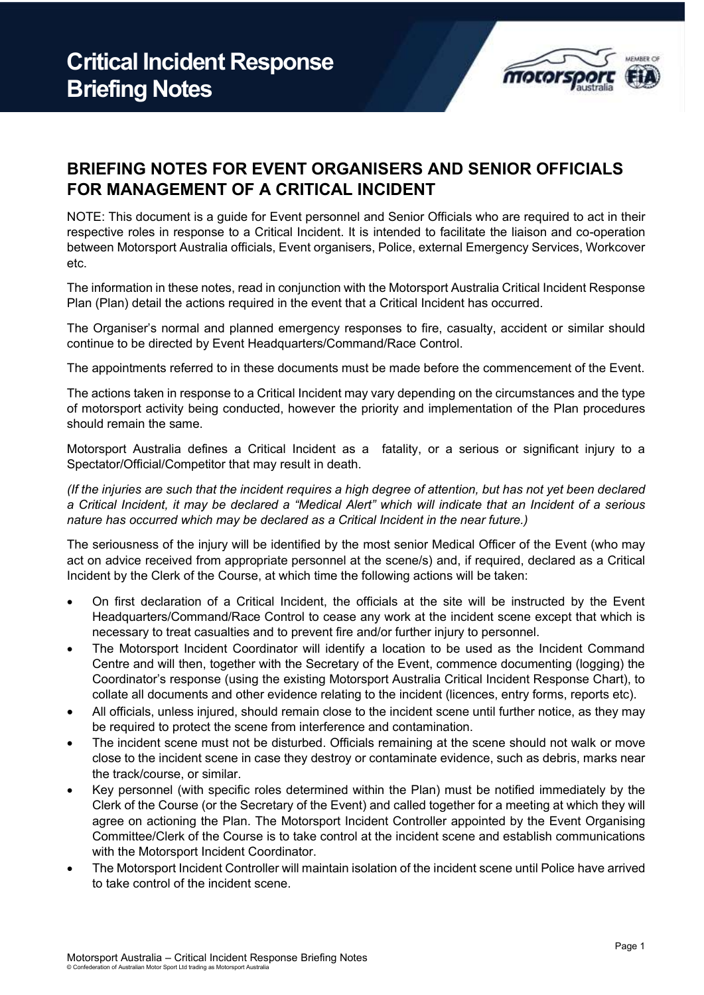

## **BRIEFING NOTES FOR EVENT ORGANISERS AND SENIOR OFFICIALS FOR MANAGEMENT OF A CRITICAL INCIDENT**

NOTE: This document is a guide for Event personnel and Senior Officials who are required to act in their respective roles in response to a Critical Incident. It is intended to facilitate the liaison and co-operation between Motorsport Australia officials, Event organisers, Police, external Emergency Services, Workcover etc.

The information in these notes, read in conjunction with the Motorsport Australia Critical Incident Response Plan (Plan) detail the actions required in the event that a Critical Incident has occurred.

The Organiser's normal and planned emergency responses to fire, casualty, accident or similar should continue to be directed by Event Headquarters/Command/Race Control.

The appointments referred to in these documents must be made before the commencement of the Event.

The actions taken in response to a Critical Incident may vary depending on the circumstances and the type of motorsport activity being conducted, however the priority and implementation of the Plan procedures should remain the same.

Motorsport Australia defines a Critical Incident as a fatality, or a serious or significant injury to a Spectator/Official/Competitor that may result in death.

*(If the injuries are such that the incident requires a high degree of attention, but has not yet been declared a Critical Incident, it may be declared a "Medical Alert" which will indicate that an Incident of a serious nature has occurred which may be declared as a Critical Incident in the near future.)*

The seriousness of the injury will be identified by the most senior Medical Officer of the Event (who may act on advice received from appropriate personnel at the scene/s) and, if required, declared as a Critical Incident by the Clerk of the Course, at which time the following actions will be taken:

- On first declaration of a Critical Incident, the officials at the site will be instructed by the Event Headquarters/Command/Race Control to cease any work at the incident scene except that which is necessary to treat casualties and to prevent fire and/or further injury to personnel.
- The Motorsport Incident Coordinator will identify a location to be used as the Incident Command Centre and will then, together with the Secretary of the Event, commence documenting (logging) the Coordinator's response (using the existing Motorsport Australia Critical Incident Response Chart), to collate all documents and other evidence relating to the incident (licences, entry forms, reports etc).
- All officials, unless injured, should remain close to the incident scene until further notice, as they may be required to protect the scene from interference and contamination.
- The incident scene must not be disturbed. Officials remaining at the scene should not walk or move close to the incident scene in case they destroy or contaminate evidence, such as debris, marks near the track/course, or similar.
- Key personnel (with specific roles determined within the Plan) must be notified immediately by the Clerk of the Course (or the Secretary of the Event) and called together for a meeting at which they will agree on actioning the Plan. The Motorsport Incident Controller appointed by the Event Organising Committee/Clerk of the Course is to take control at the incident scene and establish communications with the Motorsport Incident Coordinator.
- The Motorsport Incident Controller will maintain isolation of the incident scene until Police have arrived to take control of the incident scene.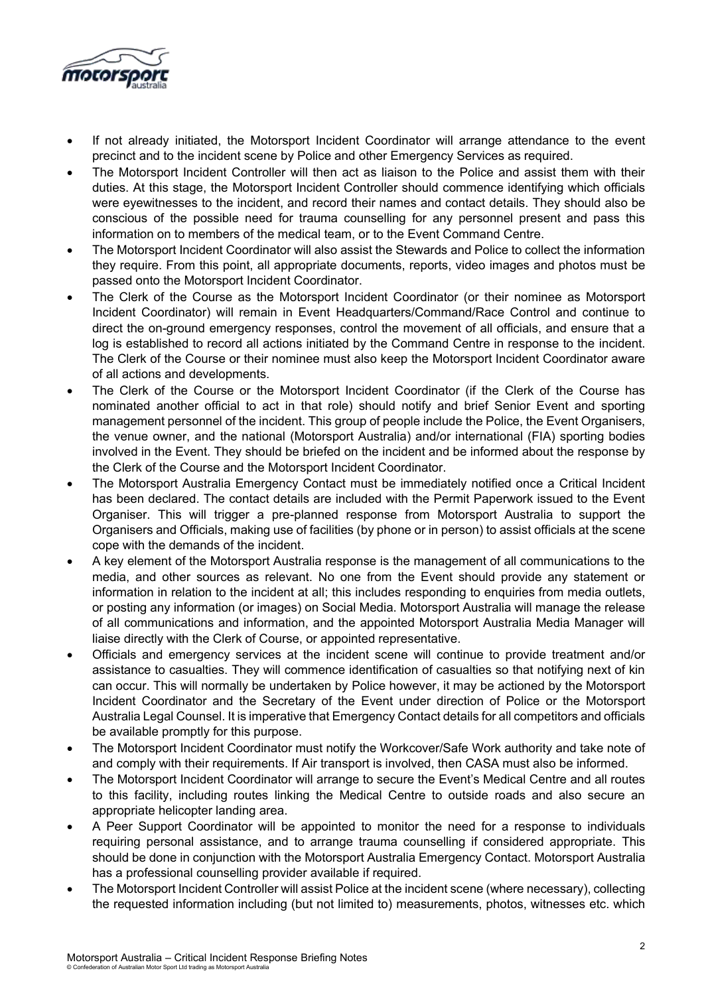

- If not already initiated, the Motorsport Incident Coordinator will arrange attendance to the event precinct and to the incident scene by Police and other Emergency Services as required.
- The Motorsport Incident Controller will then act as liaison to the Police and assist them with their duties. At this stage, the Motorsport Incident Controller should commence identifying which officials were eyewitnesses to the incident, and record their names and contact details. They should also be conscious of the possible need for trauma counselling for any personnel present and pass this information on to members of the medical team, or to the Event Command Centre.
- The Motorsport Incident Coordinator will also assist the Stewards and Police to collect the information they require. From this point, all appropriate documents, reports, video images and photos must be passed onto the Motorsport Incident Coordinator.
- The Clerk of the Course as the Motorsport Incident Coordinator (or their nominee as Motorsport Incident Coordinator) will remain in Event Headquarters/Command/Race Control and continue to direct the on-ground emergency responses, control the movement of all officials, and ensure that a log is established to record all actions initiated by the Command Centre in response to the incident. The Clerk of the Course or their nominee must also keep the Motorsport Incident Coordinator aware of all actions and developments.
- The Clerk of the Course or the Motorsport Incident Coordinator (if the Clerk of the Course has nominated another official to act in that role) should notify and brief Senior Event and sporting management personnel of the incident. This group of people include the Police, the Event Organisers, the venue owner, and the national (Motorsport Australia) and/or international (FIA) sporting bodies involved in the Event. They should be briefed on the incident and be informed about the response by the Clerk of the Course and the Motorsport Incident Coordinator.
- The Motorsport Australia Emergency Contact must be immediately notified once a Critical Incident has been declared. The contact details are included with the Permit Paperwork issued to the Event Organiser. This will trigger a pre-planned response from Motorsport Australia to support the Organisers and Officials, making use of facilities (by phone or in person) to assist officials at the scene cope with the demands of the incident.
- A key element of the Motorsport Australia response is the management of all communications to the media, and other sources as relevant. No one from the Event should provide any statement or information in relation to the incident at all; this includes responding to enquiries from media outlets, or posting any information (or images) on Social Media. Motorsport Australia will manage the release of all communications and information, and the appointed Motorsport Australia Media Manager will liaise directly with the Clerk of Course, or appointed representative.
- Officials and emergency services at the incident scene will continue to provide treatment and/or assistance to casualties. They will commence identification of casualties so that notifying next of kin can occur. This will normally be undertaken by Police however, it may be actioned by the Motorsport Incident Coordinator and the Secretary of the Event under direction of Police or the Motorsport Australia Legal Counsel. It is imperative that Emergency Contact details for all competitors and officials be available promptly for this purpose.
- The Motorsport Incident Coordinator must notify the Workcover/Safe Work authority and take note of and comply with their requirements. If Air transport is involved, then CASA must also be informed.
- The Motorsport Incident Coordinator will arrange to secure the Event's Medical Centre and all routes to this facility, including routes linking the Medical Centre to outside roads and also secure an appropriate helicopter landing area.
- A Peer Support Coordinator will be appointed to monitor the need for a response to individuals requiring personal assistance, and to arrange trauma counselling if considered appropriate. This should be done in conjunction with the Motorsport Australia Emergency Contact. Motorsport Australia has a professional counselling provider available if required.
- The Motorsport Incident Controller will assist Police at the incident scene (where necessary), collecting the requested information including (but not limited to) measurements, photos, witnesses etc. which